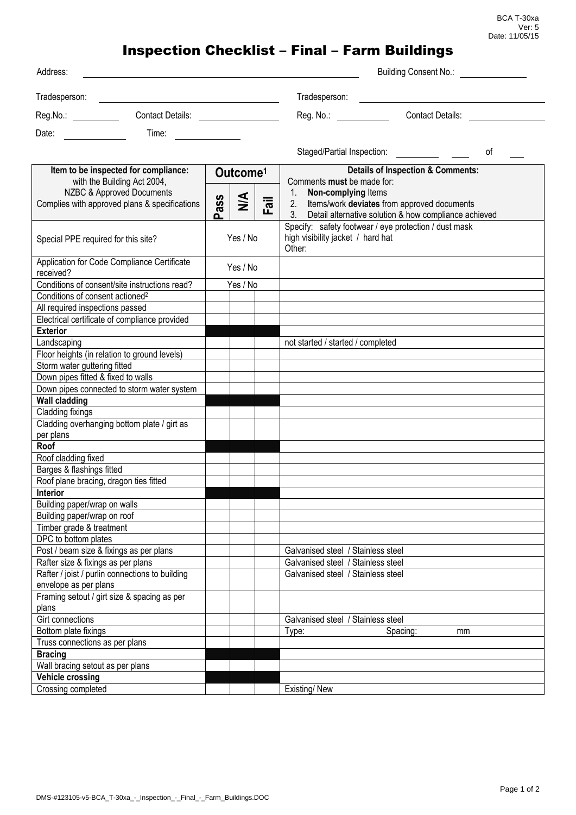## Inspection Checklist – Final – Farm Buildings

| Address:                                                                                                                                                                                                                                |                      |      |                                                                                                      | Building Consent No.:                                    |
|-----------------------------------------------------------------------------------------------------------------------------------------------------------------------------------------------------------------------------------------|----------------------|------|------------------------------------------------------------------------------------------------------|----------------------------------------------------------|
| Tradesperson:<br><u> 1988 - Johann Barn, fransk politik formuler (d. 1989)</u>                                                                                                                                                          |                      |      | Tradesperson:                                                                                        |                                                          |
| Reg.No.: Contact Details:                                                                                                                                                                                                               |                      |      | Reg. No.: <b>Example</b>                                                                             | <b>Contact Details:</b>                                  |
| Time: The Company of the Company of the Company of the Company of the Company of the Company of the Company of the Company of the Company of the Company of the Company of the Company of the Company of the Company of the Co<br>Date: |                      |      |                                                                                                      |                                                          |
|                                                                                                                                                                                                                                         |                      |      | Staged/Partial Inspection:                                                                           | οf                                                       |
| Item to be inspected for compliance:<br>with the Building Act 2004,                                                                                                                                                                     | Outcome <sup>1</sup> |      | <b>Details of Inspection &amp; Comments:</b><br>Comments must be made for:                           |                                                          |
| <b>NZBC &amp; Approved Documents</b><br>Complies with approved plans & specifications                                                                                                                                                   | $\leq$<br>ass<br>൨   | Fail | Non-complying Items<br>$1_{\cdot}$<br>Items/work deviates from approved documents<br>2.              | 3. Detail alternative solution & how compliance achieved |
| Special PPE required for this site?                                                                                                                                                                                                     | Yes / No             |      | Specify: safety footwear / eye protection / dust mask<br>high visibility jacket / hard hat<br>Other: |                                                          |
| Application for Code Compliance Certificate<br>received?                                                                                                                                                                                | Yes / No             |      |                                                                                                      |                                                          |
| Conditions of consent/site instructions read?                                                                                                                                                                                           | Yes / No             |      |                                                                                                      |                                                          |
| Conditions of consent actioned <sup>2</sup>                                                                                                                                                                                             |                      |      |                                                                                                      |                                                          |
| All required inspections passed                                                                                                                                                                                                         |                      |      |                                                                                                      |                                                          |
| Electrical certificate of compliance provided                                                                                                                                                                                           |                      |      |                                                                                                      |                                                          |
| <b>Exterior</b>                                                                                                                                                                                                                         |                      |      |                                                                                                      |                                                          |
| Landscaping                                                                                                                                                                                                                             |                      |      | not started / started / completed                                                                    |                                                          |
| Floor heights (in relation to ground levels)                                                                                                                                                                                            |                      |      |                                                                                                      |                                                          |
| Storm water guttering fitted                                                                                                                                                                                                            |                      |      |                                                                                                      |                                                          |
| Down pipes fitted & fixed to walls                                                                                                                                                                                                      |                      |      |                                                                                                      |                                                          |
| Down pipes connected to storm water system                                                                                                                                                                                              |                      |      |                                                                                                      |                                                          |
| <b>Wall cladding</b>                                                                                                                                                                                                                    |                      |      |                                                                                                      |                                                          |
| Cladding fixings                                                                                                                                                                                                                        |                      |      |                                                                                                      |                                                          |
| Cladding overhanging bottom plate / girt as                                                                                                                                                                                             |                      |      |                                                                                                      |                                                          |
| per plans                                                                                                                                                                                                                               |                      |      |                                                                                                      |                                                          |
| Roof                                                                                                                                                                                                                                    |                      |      |                                                                                                      |                                                          |
| Roof cladding fixed                                                                                                                                                                                                                     |                      |      |                                                                                                      |                                                          |
| Barges & flashings fitted                                                                                                                                                                                                               |                      |      |                                                                                                      |                                                          |
| Roof plane bracing, dragon ties fitted                                                                                                                                                                                                  |                      |      |                                                                                                      |                                                          |
| <b>Interior</b>                                                                                                                                                                                                                         |                      |      |                                                                                                      |                                                          |
| Building paper/wrap on walls                                                                                                                                                                                                            |                      |      |                                                                                                      |                                                          |
| Building paper/wrap on roof                                                                                                                                                                                                             |                      |      |                                                                                                      |                                                          |
| Timber grade & treatment                                                                                                                                                                                                                |                      |      |                                                                                                      |                                                          |
| DPC to bottom plates                                                                                                                                                                                                                    |                      |      |                                                                                                      |                                                          |
| Post / beam size & fixings as per plans                                                                                                                                                                                                 |                      |      | Galvanised steel / Stainless steel                                                                   |                                                          |
| Rafter size & fixings as per plans                                                                                                                                                                                                      |                      |      | Galvanised steel / Stainless steel                                                                   |                                                          |
| Rafter / joist / purlin connections to building                                                                                                                                                                                         |                      |      | Galvanised steel / Stainless steel                                                                   |                                                          |
| envelope as per plans                                                                                                                                                                                                                   |                      |      |                                                                                                      |                                                          |
| Framing setout / girt size & spacing as per<br>plans                                                                                                                                                                                    |                      |      |                                                                                                      |                                                          |
| Girt connections                                                                                                                                                                                                                        |                      |      | Galvanised steel / Stainless steel                                                                   |                                                          |
| Bottom plate fixings                                                                                                                                                                                                                    |                      |      | Type:                                                                                                | Spacing:<br>mm                                           |
| Truss connections as per plans                                                                                                                                                                                                          |                      |      |                                                                                                      |                                                          |
| <b>Bracing</b>                                                                                                                                                                                                                          |                      |      |                                                                                                      |                                                          |
| Wall bracing setout as per plans                                                                                                                                                                                                        |                      |      |                                                                                                      |                                                          |
| <b>Vehicle crossing</b>                                                                                                                                                                                                                 |                      |      |                                                                                                      |                                                          |
| Crossing completed                                                                                                                                                                                                                      |                      |      | Existing/New                                                                                         |                                                          |
|                                                                                                                                                                                                                                         |                      |      |                                                                                                      |                                                          |